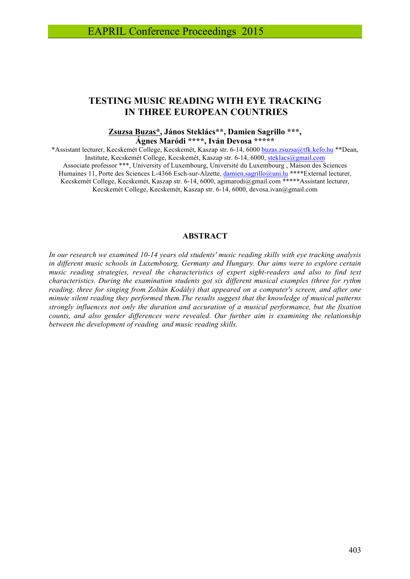# **TESTING MUSIC READING WITH EYE TRACKING IN THREE EUROPEAN COUNTRIES**

#### **Zsuzsa Buzas\*, János Steklács\*\*, Damien Sagrillo \*\*\*, Ágnes Maródi \*\*\*\*, Iván Devosa \*\*\*\*\***

\*Assistant lecturer, Kecskemét College, Kecskemét, Kaszap str. 6-14, 6000 buzas.zsuzsa@tfk.kefo.hu \*\*Dean, Institute, Kecskemét College, Kecskemét, Kaszap str. 6-14, 6000, steklacs@gmail.com Associate professor \*\*\*, University of Luxembourg, Université du Luxembourg , Maison des Sciences Humaines 11, Porte des Sciences L-4366 Esch-sur-Alzette, damien.sagrillo@uni.lu \*\*\*\*External lecturer, Kecskemét College, Kecskemét, Kaszap str. 6-14, 6000, agimarodi@gmail.com \*\*\*\*\*Assistant lecturer, Kecskemét College, Kecskemét, Kaszap str. 6-14, 6000, devosa.ivan@gmail.com

### **ABSTRACT**

*In our research we examined 10-14 years old students' music reading skills with eye tracking analysis in different music schools in Luxembourg, Germany and Hungary. Our aims were to explore certain music reading strategies, reveal the characteristics of expert sight-readers and also to find text characteristics. During the examination students got six different musical examples (three for rythm reading, three for singing from Zoltán Kodály) that appeared on a computer's screen, and after one minute silent reading they performed them.The results suggest that the knowledge of musical patterns strongly influences not only the duration and accuration of a musical performance, but the fixation counts, and also gender differences were revealed. Our further aim is examining the relationship between the development of reading and music reading skills.*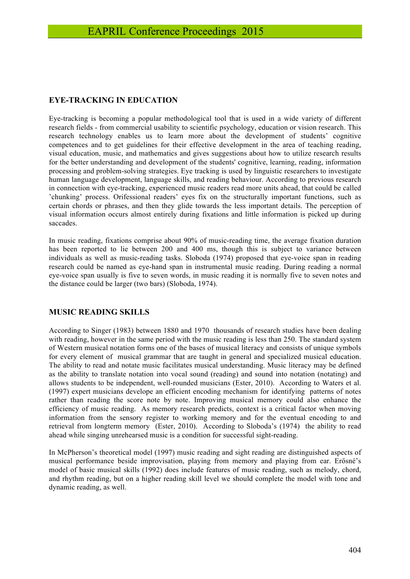### **EYE-TRACKING IN EDUCATION**

Eye-tracking is becoming a popular methodological tool that is used in a wide variety of different research fields - from commercial usability to scientific psychology, education or vision research. This research technology enables us to learn more about the development of students' cognitive competences and to get guidelines for their effective development in the area of teaching reading, visual education, music, and mathematics and gives suggestions about how to utilize research results for the better understanding and development of the students' cognitive, learning, reading, information processing and problem-solving strategies. Eye tracking is used by linguistic researchers to investigate human language development, language skills, and reading behaviour. According to previous research in connection with eye-tracking, experienced music readers read more units ahead, that could be called 'chunking' process. Orifessional readers' eyes fix on the structurally important functions, such as certain chords or phrases, and then they glide towards the less important details. The perception of visual information occurs almost entirely during fixations and little information is picked up during saccades.

In music reading, fixations comprise about 90% of music-reading time, the average fixation duration has been reported to lie between 200 and 400 ms, though this is subject to variance between individuals as well as music-reading tasks. Sloboda (1974) proposed that eye-voice span in reading research could be named as eye-hand span in instrumental music reading. During reading a normal eye-voice span usually is five to seven words, in music reading it is normally five to seven notes and the distance could be larger (two bars) (Sloboda, 1974).

### **MUSIC READING SKILLS**

According to Singer (1983) between 1880 and 1970 thousands of research studies have been dealing with reading, however in the same period with the music reading is less than 250. The standard system of Western musical notation forms one of the bases of musical literacy and consists of unique symbols for every element of musical grammar that are taught in general and specialized musical education. The ability to read and notate music facilitates musical understanding. Music literacy may be defined as the ability to translate notation into vocal sound (reading) and sound into notation (notating) and allows students to be independent, well-rounded musicians (Ester, 2010). According to Waters et al. (1997) expert musicians develope an efficient encoding mechanism for identifying patterns of notes rather than reading the score note by note. Improving musical memory could also enhance the efficiency of music reading. As memory research predicts, context is a critical factor when moving information from the sensory register to working memory and for the eventual encoding to and retrieval from longterm memory (Ester, 2010). According to Sloboda's (1974) the ability to read ahead while singing unrehearsed music is a condition for successful sight-reading.

In McPherson's theoretical model (1997) music reading and sight reading are distinguished aspects of musical performance beside improvisation, playing from memory and playing from ear. Erősné's model of basic musical skills (1992) does include features of music reading, such as melody, chord, and rhythm reading, but on a higher reading skill level we should complete the model with tone and dynamic reading, as well.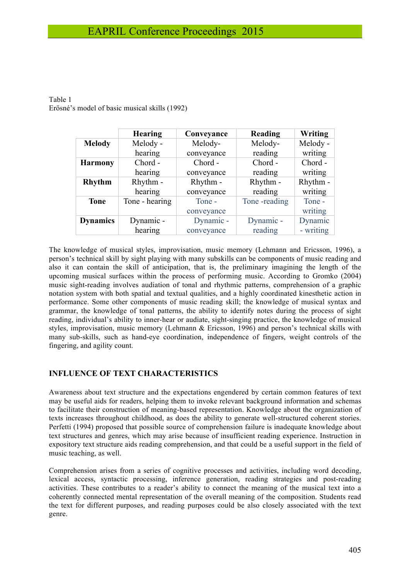|                 | <b>Hearing</b> | Conveyance | Reading      | Writing   |
|-----------------|----------------|------------|--------------|-----------|
| <b>Melody</b>   | Melody -       | Melody-    | Melody-      | Melody -  |
|                 | hearing        | conveyance | reading      | writing   |
| <b>Harmony</b>  | Chord -        | Chord -    | Chord -      | Chord -   |
|                 | hearing        | conveyance | reading      | writing   |
| <b>Rhythm</b>   | Rhythm -       | Rhythm -   | Rhythm -     | Rhythm -  |
|                 | hearing        | conveyance | reading      | writing   |
| <b>Tone</b>     | Tone - hearing | Tone -     | Tone-reading | Tone -    |
|                 |                | conveyance |              | writing   |
| <b>Dynamics</b> | Dynamic -      | Dynamic -  | Dynamic -    | Dynamic   |
|                 | hearing        | conveyance | reading      | - writing |

Table 1 Erősné's model of basic musical skills (1992)

The knowledge of musical styles, improvisation, music memory (Lehmann and Ericsson, 1996), a person's technical skill by sight playing with many subskills can be components of music reading and also it can contain the skill of anticipation, that is, the preliminary imagining the length of the upcoming musical surfaces within the process of performing music. According to Gromko (2004) music sight-reading involves audiation of tonal and rhythmic patterns, comprehension of a graphic notation system with both spatial and textual qualities, and a highly coordinated kinesthetic action in performance. Some other components of music reading skill; the knowledge of musical syntax and grammar, the knowledge of tonal patterns, the ability to identify notes during the process of sight reading, individual's ability to inner-hear or audiate, sight-singing practice, the knowledge of musical styles, improvisation, music memory (Lehmann & Ericsson, 1996) and person's technical skills with many sub-skills, such as hand-eye coordination, independence of fingers, weight controls of the fingering, and agility count.

### **INFLUENCE OF TEXT CHARACTERISTICS**

Awareness about text structure and the expectations engendered by certain common features of text may be useful aids for readers, helping them to invoke relevant background information and schemas to facilitate their construction of meaning-based representation. Knowledge about the organization of texts increases throughout childhood, as does the ability to generate well-structured coherent stories. Perfetti (1994) proposed that possible source of comprehension failure is inadequate knowledge about text structures and genres, which may arise because of insufficient reading experience. Instruction in expository text structure aids reading comprehension, and that could be a useful support in the field of music teaching, as well.

Comprehension arises from a series of cognitive processes and activities, including word decoding, lexical access, syntactic processing, inference generation, reading strategies and post-reading activities. These contributes to a reader's ability to connect the meaning of the musical text into a coherently connected mental representation of the overall meaning of the composition. Students read the text for different purposes, and reading purposes could be also closely associated with the text genre.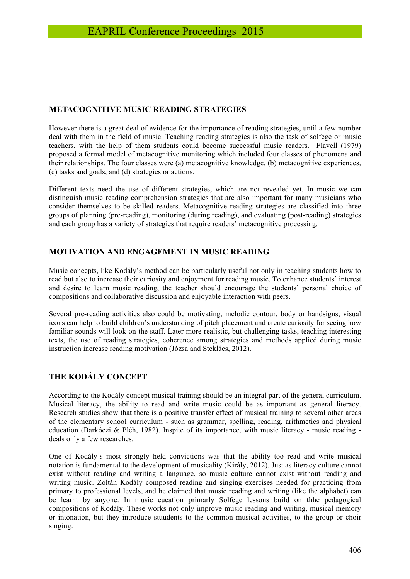### **METACOGNITIVE MUSIC READING STRATEGIES**

However there is a great deal of evidence for the importance of reading strategies, until a few number deal with them in the field of music. Teaching reading strategies is also the task of solfege or music teachers, with the help of them students could become successful music readers. Flavell (1979) proposed a formal model of metacognitive monitoring which included four classes of phenomena and their relationships. The four classes were (a) metacognitive knowledge, (b) metacognitive experiences, (c) tasks and goals, and (d) strategies or actions.

Different texts need the use of different strategies, which are not revealed yet. In music we can distinguish music reading comprehension strategies that are also important for many musicians who consider themselves to be skilled readers. Metacognitive reading strategies are classified into three groups of planning (pre-reading), monitoring (during reading), and evaluating (post-reading) strategies and each group has a variety of strategies that require readers' metacognitive processing.

## **MOTIVATION AND ENGAGEMENT IN MUSIC READING**

Music concepts, like Kodály's method can be particularly useful not only in teaching students how to read but also to increase their curiosity and enjoyment for reading music. To enhance students' interest and desire to learn music reading, the teacher should encourage the students' personal choice of compositions and collaborative discussion and enjoyable interaction with peers.

Several pre-reading activities also could be motivating, melodic contour, body or handsigns, visual icons can help to build children's understanding of pitch placement and create curiosity for seeing how familiar sounds will look on the staff. Later more realistic, but challenging tasks, teaching interesting texts, the use of reading strategies, coherence among strategies and methods applied during music instruction increase reading motivation (Józsa and Steklács, 2012).

# **THE KODÁLY CONCEPT**

According to the Kodály concept musical training should be an integral part of the general curriculum. Musical literacy, the ability to read and write music could be as important as general literacy. Research studies show that there is a positive transfer effect of musical training to several other areas of the elementary school curriculum - such as grammar, spelling, reading, arithmetics and physical education (Barkóczi & Pléh, 1982). Inspite of its importance, with music literacy - music reading deals only a few researches.

One of Kodály's most strongly held convictions was that the ability too read and write musical notation is fundamental to the development of musicality (Király, 2012). Just as literacy culture cannot exist without reading and writing a language, so music culture cannot exist without reading and writing music. Zoltán Kodály composed reading and singing exercises needed for practicing from primary to professional levels, and he claimed that music reading and writing (like the alphabet) can be learnt by anyone. In music eucation primarly Solfege lessons build on thhe pedagogical compositions of Kodály. These works not only improve music reading and writing, musical memory or intonation, but they introduce stuudents to the common musical activities, to the group or choir singing.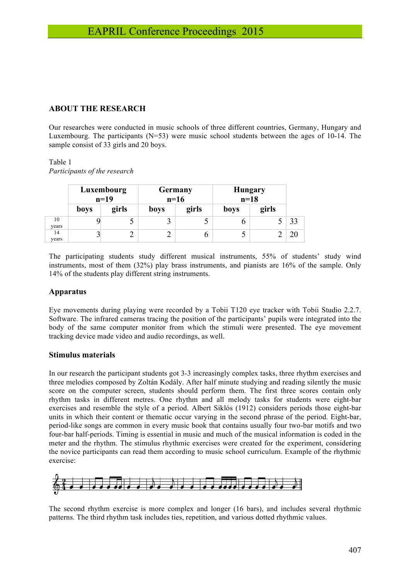### **ABOUT THE RESEARCH**

Our researches were conducted in music schools of three different countries, Germany, Hungary and Luxembourg. The participants  $(N=53)$  were music school students between the ages of 10-14. The sample consist of 33 girls and 20 boys.

### Table 1 *Participants of the research*

|             | Luxembourg<br>$n=19$ |       | <b>Germany</b><br>$n=16$ |       | <b>Hungary</b><br>$n=18$ |       |    |
|-------------|----------------------|-------|--------------------------|-------|--------------------------|-------|----|
|             | <b>boys</b>          | girls | boys                     | girls | boys                     | girls |    |
| 10<br>years |                      |       |                          |       |                          |       | 33 |
| 14<br>years |                      |       |                          |       |                          |       |    |

The participating students study different musical instruments, 55% of students' study wind instruments, most of them (32%) play brass instruments, and pianists are 16% of the sample. Only 14% of the students play different string instruments.

### **Apparatus**

Eye movements during playing were recorded by a Tobii T120 eye tracker with Tobii Studio 2.2.7. Software. The infrared cameras tracing the position of the participants' pupils were integrated into the body of the same computer monitor from which the stimuli were presented. The eye movement tracking device made video and audio recordings, as well.

### **Stimulus materials**

In our research the participant students got 3-3 increasingly complex tasks, three rhythm exercises and three melodies composed by Zoltán Kodály. After half minute studying and reading silently the music score on the computer screen, students should perform them. The first three scores contain only rhythm tasks in different metres. One rhythm and all melody tasks for students were eight-bar exercises and resemble the style of a period. Albert Siklós (1912) considers periods those eight-bar units in which their content or thematic occur varying in the second phrase of the period. Eight-bar, period-like songs are common in every music book that contains usually four two-bar motifs and two four-bar half-periods. Timing is essential in music and much of the musical information is coded in the meter and the rhythm. The stimulus rhythmic exercises were created for the experiment, considering the novice participants can read them according to music school curriculum. Example of the rhythmic exercise:



The second rhythm exercise is more complex and longer (16 bars), and includes several rhythmic patterns. The third rhythm task includes ties, repetition, and various dotted rhythmic values.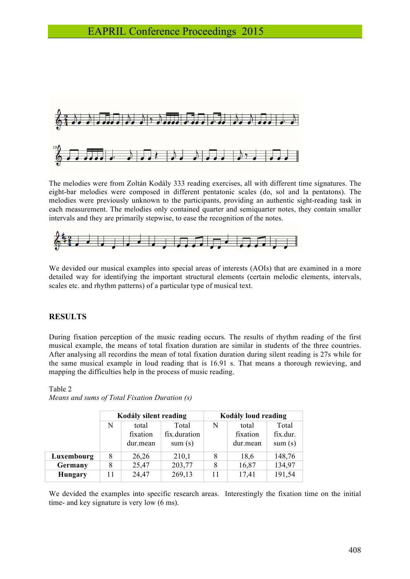

The melodies were from Zoltán Kodály 333 reading exercises, all with different time signatures. The eight-bar melodies were composed in different pentatonic scales (do, sol and la pentatons). The melodies were previously unknown to the participants, providing an authentic sight-reading task in each measurement. The melodies only contained quarter and semiquarter notes, they contain smaller intervals and they are primarily stepwise, to ease the recognition of the notes.



We devided our musical examples into special areas of interests (AOIs) that are examined in a more detailed way for identifying the important structural elements (certain melodic elements, intervals, scales etc. and rhythm patterns) of a particular type of musical text.

### **RESULTS**

During fixation perception of the music reading occurs. The results of rhythm reading of the first musical example, the means of total fixation duration are similar in students of the three countries. After analysing all recordins the mean of total fixation duration during silent reading is 27s while for the same musical example in loud reading that is 16.91 s. That means a thorough rewieving, and mapping the difficulties help in the process of music reading.

|            | Kodály silent reading |                               |                                 | Kodály loud reading |                               |                             |
|------------|-----------------------|-------------------------------|---------------------------------|---------------------|-------------------------------|-----------------------------|
|            | N                     | total<br>fixation<br>dur.mean | Total<br>fix.duration<br>sum(s) | N                   | total<br>fixation<br>dur.mean | Total<br>fix.dur.<br>sum(s) |
| Luxembourg | 8                     | 26,26                         | 210,1                           | 8                   | 18,6                          | 148,76                      |
| Germany    | 8                     | 25,47                         | 203,77                          | 8                   | 16,87                         | 134,97                      |
| Hungary    | 11                    | 24,47                         | 269,13                          |                     | 17,41                         | 191,54                      |

Table 2 *Means and sums of Total Fixation Duration (s)*

We devided the examples into specific research areas. Interestingly the fixation time on the initial time- and key signature is very low (6 ms).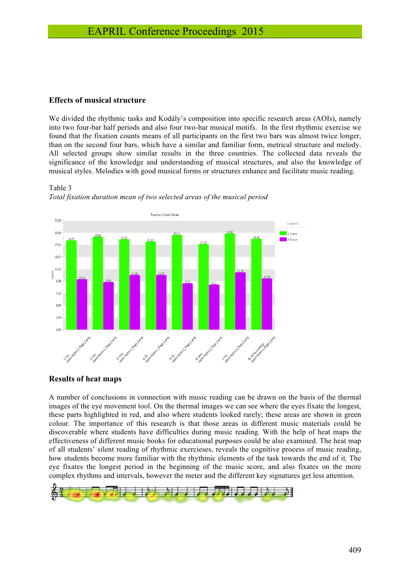#### **Effects of musical structure**

We divided the rhythmic tasks and Kodály's composition into specific research areas (AOIs), namely into two four-bar half periods and also four two-bar musical motifs. In the first rhythmic exercise we found that the fixation counts means of all participants on the first two bars was almost twice longer, than on the second four bars, which have a similar and familiar form, metrical structure and melody. All selected groups show similar results in the three countries. The collected data reveals the significance of the knowledge and understanding of musical structures, and also the knowledge of musical styles. Melodies with good musical forms or structures enhance and facilitate music reading.

#### Table 3





#### **Results of heat maps**

A number of conclusions in connection with music reading can be drawn on the basis of the thermal images of the eye movement tool. On the thermal images we can see where the eyes fixate the longest, these parts highlighted in red, and also where students looked rarely; these areas are shown in green colour. The importance of this research is that those areas in different music materials could be discoverable where students have difficulties during music reading. With the help of heat maps the effectiveness of different music books for educational purposes could be also examined. The heat map of all students' silent reading of rhythmic exercieses, reveals the cognitive process of music reading, how students become more familiar with the rhythmic elements of the task towards the end of it. The eye fixates the longest period in the beginning of the music score, and also fixates on the more complex rhythms and intervals, however the meter and the different key signatures get less attention.

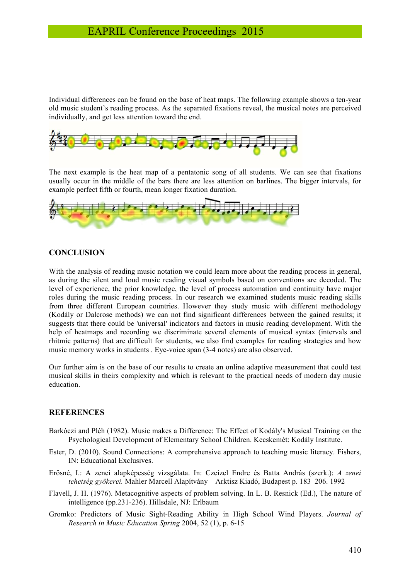Individual differences can be found on the base of heat maps. The following example shows a ten-year old music student's reading process. As the separated fixations reveal, the musical notes are perceived individually, and get less attention toward the end.



The next example is the heat map of a pentatonic song of all students. We can see that fixations usually occur in the middle of the bars there are less attention on barlines. The bigger intervals, for example perfect fifth or fourth, mean longer fixation duration.



### **CONCLUSION**

With the analysis of reading music notation we could learn more about the reading process in general, as during the silent and loud music reading visual symbols based on conventions are decoded. The level of experience, the prior knowledge, the level of process automation and continuity have major roles during the music reading process. In our research we examined students music reading skills from three different European countries. However they study music with different methodology (Kodály or Dalcrose methods) we can not find significant differences between the gained results; it suggests that there could be 'universal' indicators and factors in music reading development. With the help of heatmaps and recording we discriminate several elements of musical syntax (intervals and rhitmic patterns) that are difficult for students, we also find examples for reading strategies and how music memory works in students . Eye-voice span (3-4 notes) are also observed.

Our further aim is on the base of our results to create an online adaptive measurement that could test musical skills in theirs complexity and which is relevant to the practical needs of modern day music education.

### **REFERENCES**

- Barkóczi and Pléh (1982). Music makes a Difference: The Effect of Kodály's Musical Training on the Psychological Development of Elementary School Children. Kecskemét: Kodály Institute.
- Ester, D. (2010). Sound Connections: A comprehensive approach to teaching music literacy. Fishers, IN: Educational Exclusives.
- Erősné, I.: A zenei alapképesség vizsgálata. In: Czeizel Endre és Batta András (szerk.): *A zenei tehetség gyökerei.* Mahler Marcell Alapítvány – Arktisz Kiadó, Budapest p. 183–206. 1992
- Flavell, J. H. (1976). Metacognitive aspects of problem solving. In L. B. Resnick (Ed.), The nature of intelligence (pp.231-236). Hillsdale, NJ: Erlbaum
- Gromko: Predictors of Music Sight-Reading Ability in High School Wind Players. *Journal of Research in Music Education Spring* 2004, 52 (1), p. 6-15